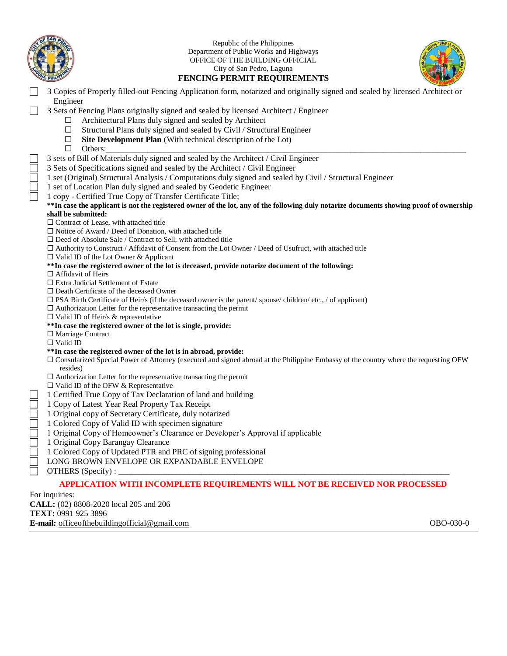

Republic of the Philippines Department of Public Works and Highways OFFICE OF THE BUILDING OFFICIAL City of San Pedro, Laguna



# **FENCING PERMIT REQUIREMENTS**

 3 Copies of Properly filled-out Fencing Application form, notarized and originally signed and sealed by licensed Architect or Engineer

3 Sets of Fencing Plans originally signed and sealed by licensed Architect / Engineer

- $\Box$  Architectural Plans duly signed and sealed by Architect
- $\square$  Structural Plans duly signed and sealed by Civil / Structural Engineer
- $\Box$  **Site Development Plan** (With technical description of the Lot)
- Others:\_\_\_\_\_\_\_\_\_\_\_\_\_\_\_\_\_\_\_\_\_\_\_\_\_\_\_\_\_\_\_\_\_\_\_\_\_\_\_\_\_\_\_\_\_\_\_\_\_\_\_\_\_\_\_\_\_\_\_\_\_\_\_\_\_\_\_\_\_\_\_\_\_\_\_\_\_\_\_\_\_\_\_\_\_\_\_
- 3 sets of Bill of Materials duly signed and sealed by the Architect / Civil Engineer
- 3 Sets of Specifications signed and sealed by the Architect / Civil Engineer
- 1 set (Original) Structural Analysis / Computations duly signed and sealed by Civil / Structural Engineer
- 1 set of Location Plan duly signed and sealed by Geodetic Engineer
- 1 copy Certified True Copy of Transfer Certificate Title;
- **\*\*In case the applicant is not the registered owner of the lot, any of the following duly notarize documents showing proof of ownership shall be submitted:**
- $\square$  Contract of Lease, with attached title
- $\Box$  Notice of Award / Deed of Donation, with attached title
- $\square$  Deed of Absolute Sale / Contract to Sell, with attached title
- Authority to Construct / Affidavit of Consent from the Lot Owner / Deed of Usufruct, with attached title
- $\square$  Valid ID of the Lot Owner & Applicant

### **\*\*In case the registered owner of the lot is deceased, provide notarize document of the following:**

- □ Affidavit of Heirs
- $\square$  Extra Judicial Settlement of Estate
- □ Death Certificate of the deceased Owner
- $\square$  PSA Birth Certificate of Heir/s (if the deceased owner is the parent/ spouse/ children/ etc., / of applicant)
- $\Box$  Authorization Letter for the representative transacting the permit
- $\square$  Valid ID of Heir/s & representative
- **\*\*In case the registered owner of the lot is single, provide:**
- □ Marriage Contract
- Valid ID

### **\*\*In case the registered owner of the lot is in abroad, provide:**

- Consularized Special Power of Attorney (executed and signed abroad at the Philippine Embassy of the country where the requesting OFW resides)
- $\square$  Authorization Letter for the representative transacting the permit
- $\square$  Valid ID of the OFW & Representative
- 1 Certified True Copy of Tax Declaration of land and building
- 1 Copy of Latest Year Real Property Tax Receipt
- 1 Original copy of Secretary Certificate, duly notarized
- 1 Colored Copy of Valid ID with specimen signature
- 1 Original Copy of Homeowner's Clearance or Developer's Approval if applicable
- 1 Original Copy Barangay Clearance
- 1 Colored Copy of Updated PTR and PRC of signing professional
- LONG BROWN ENVELOPE OR EXPANDABLE ENVELOPE
- OTHERS (Specify) :

### **APPLICATION WITH INCOMPLETE REQUIREMENTS WILL NOT BE RECEIVED NOR PROCESSED**

For inquiries:

**CALL:** (02) 8808-2020 local 205 and 206

**TEXT:** 0991 925 3896

**E-mail:** <u>[officeofthebuildingofficial@gmail.com](mailto:officeofthebuildingofficial@gmail.com)</u> **OBO-030-0 OBO-030-0 OBO-030-0**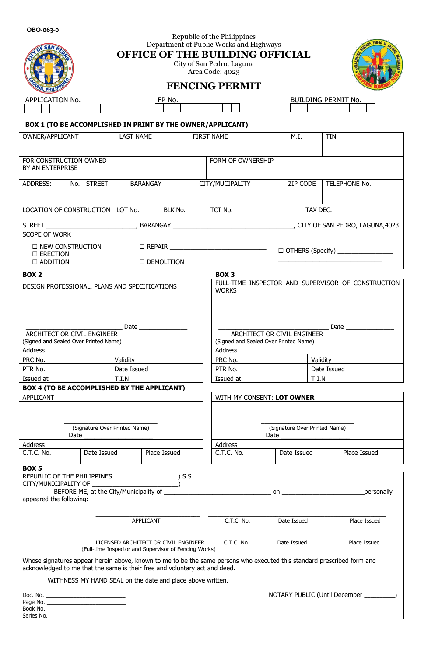Series No. \_\_\_\_\_\_\_\_\_\_\_\_\_\_\_\_\_\_\_\_\_\_\_\_\_

|                                                                                                                                                                                                       |                                              | Republic of the Philippines                                                                                                                                                                                                          |                                                                      |                                   |  |  |  |  |  |
|-------------------------------------------------------------------------------------------------------------------------------------------------------------------------------------------------------|----------------------------------------------|--------------------------------------------------------------------------------------------------------------------------------------------------------------------------------------------------------------------------------------|----------------------------------------------------------------------|-----------------------------------|--|--|--|--|--|
| Department of Public Works and Highways<br><b>OFFICE OF THE BUILDING OFFICIAL</b>                                                                                                                     |                                              |                                                                                                                                                                                                                                      |                                                                      |                                   |  |  |  |  |  |
|                                                                                                                                                                                                       | City of San Pedro, Laguna<br>Area Code: 4023 |                                                                                                                                                                                                                                      |                                                                      |                                   |  |  |  |  |  |
| <b>FENCING PERMIT</b>                                                                                                                                                                                 |                                              |                                                                                                                                                                                                                                      |                                                                      |                                   |  |  |  |  |  |
| APPLICATION No.                                                                                                                                                                                       | FP No.                                       |                                                                                                                                                                                                                                      |                                                                      | BUILDING PERMIT No.               |  |  |  |  |  |
|                                                                                                                                                                                                       |                                              |                                                                                                                                                                                                                                      |                                                                      |                                   |  |  |  |  |  |
| BOX 1 (TO BE ACCOMPLISHED IN PRINT BY THE OWNER/APPLICANT)                                                                                                                                            |                                              |                                                                                                                                                                                                                                      |                                                                      |                                   |  |  |  |  |  |
| OWNER/APPLICANT                                                                                                                                                                                       | <b>LAST NAME</b>                             | <b>FIRST NAME</b>                                                                                                                                                                                                                    | M.I.                                                                 | <b>TIN</b>                        |  |  |  |  |  |
| FOR CONSTRUCTION OWNED<br>BY AN ENTERPRISE                                                                                                                                                            |                                              | FORM OF OWNERSHIP                                                                                                                                                                                                                    |                                                                      |                                   |  |  |  |  |  |
| ADDRESS: No. STREET                                                                                                                                                                                   | BARANGAY                                     | CITY/MUCIPALITY                                                                                                                                                                                                                      | ZIP CODE                                                             | TELEPHONE No.                     |  |  |  |  |  |
|                                                                                                                                                                                                       |                                              |                                                                                                                                                                                                                                      |                                                                      |                                   |  |  |  |  |  |
|                                                                                                                                                                                                       |                                              |                                                                                                                                                                                                                                      |                                                                      |                                   |  |  |  |  |  |
| <b>SCOPE OF WORK</b>                                                                                                                                                                                  |                                              |                                                                                                                                                                                                                                      |                                                                      |                                   |  |  |  |  |  |
| $\square$ ERECTION                                                                                                                                                                                    |                                              |                                                                                                                                                                                                                                      |                                                                      |                                   |  |  |  |  |  |
| $\Box$ ADDITION                                                                                                                                                                                       |                                              |                                                                                                                                                                                                                                      |                                                                      |                                   |  |  |  |  |  |
| BOX <sub>2</sub>                                                                                                                                                                                      |                                              | BOX <sub>3</sub>                                                                                                                                                                                                                     |                                                                      |                                   |  |  |  |  |  |
| DESIGN PROFESSIONAL, PLANS AND SPECIFICATIONS                                                                                                                                                         |                                              | <b>WORKS</b>                                                                                                                                                                                                                         | FULL-TIME INSPECTOR AND SUPERVISOR OF CONSTRUCTION                   |                                   |  |  |  |  |  |
|                                                                                                                                                                                                       |                                              |                                                                                                                                                                                                                                      |                                                                      |                                   |  |  |  |  |  |
|                                                                                                                                                                                                       |                                              |                                                                                                                                                                                                                                      |                                                                      |                                   |  |  |  |  |  |
|                                                                                                                                                                                                       | Date $\qquad$                                |                                                                                                                                                                                                                                      | Date $\_\_$                                                          |                                   |  |  |  |  |  |
| ARCHITECT OR CIVIL ENGINEER<br>(Signed and Sealed Over Printed Name)                                                                                                                                  |                                              |                                                                                                                                                                                                                                      | ARCHITECT OR CIVIL ENGINEER<br>(Signed and Sealed Over Printed Name) |                                   |  |  |  |  |  |
| Address                                                                                                                                                                                               |                                              | Address                                                                                                                                                                                                                              |                                                                      |                                   |  |  |  |  |  |
| PRC No.                                                                                                                                                                                               | Validity                                     | PRC No.                                                                                                                                                                                                                              |                                                                      | Validity                          |  |  |  |  |  |
| PTR No.                                                                                                                                                                                               | Date Issued                                  | PTR No.                                                                                                                                                                                                                              | Date Issued                                                          |                                   |  |  |  |  |  |
| Issued at<br>BOX 4 (TO BE ACCOMPLISHED BY THE APPLICANT)                                                                                                                                              | T.I.N                                        | Issued at                                                                                                                                                                                                                            | T.I.N                                                                |                                   |  |  |  |  |  |
| APPLICANT                                                                                                                                                                                             |                                              |                                                                                                                                                                                                                                      | WITH MY CONSENT: LOT OWNER                                           |                                   |  |  |  |  |  |
|                                                                                                                                                                                                       |                                              |                                                                                                                                                                                                                                      |                                                                      |                                   |  |  |  |  |  |
|                                                                                                                                                                                                       |                                              |                                                                                                                                                                                                                                      |                                                                      |                                   |  |  |  |  |  |
|                                                                                                                                                                                                       | (Signature Over Printed Name)                |                                                                                                                                                                                                                                      | (Signature Over Printed Name)                                        |                                   |  |  |  |  |  |
| Date<br>Address                                                                                                                                                                                       |                                              | Address                                                                                                                                                                                                                              | Date                                                                 |                                   |  |  |  |  |  |
| C.T.C. No.<br>Date Issued                                                                                                                                                                             | Place Issued                                 | C.T.C. No.                                                                                                                                                                                                                           | Date Issued                                                          | Place Issued                      |  |  |  |  |  |
| <b>BOX5</b>                                                                                                                                                                                           |                                              |                                                                                                                                                                                                                                      |                                                                      |                                   |  |  |  |  |  |
| REPUBLIC OF THE PHILIPPINES                                                                                                                                                                           |                                              | $)$ S.S                                                                                                                                                                                                                              |                                                                      |                                   |  |  |  |  |  |
| CITY/MUNICIPALITY OF                                                                                                                                                                                  | BEFORE ME, at the City/Municipality of       | <u>on the contract of the contract of the contract of the contract of the contract of the contract of the contract of the contract of the contract of the contract of the contract of the contract of the contract of the contra</u> |                                                                      | personally                        |  |  |  |  |  |
| appeared the following:                                                                                                                                                                               |                                              |                                                                                                                                                                                                                                      |                                                                      |                                   |  |  |  |  |  |
|                                                                                                                                                                                                       |                                              |                                                                                                                                                                                                                                      |                                                                      |                                   |  |  |  |  |  |
|                                                                                                                                                                                                       | APPLICANT                                    | C.T.C. No.                                                                                                                                                                                                                           | Date Issued                                                          | Place Issued                      |  |  |  |  |  |
| C.T.C. No.<br>LICENSED ARCHITECT OR CIVIL ENGINEER<br>Date Issued<br>Place Issued<br>(Full-time Inspector and Supervisor of Fencing Works)                                                            |                                              |                                                                                                                                                                                                                                      |                                                                      |                                   |  |  |  |  |  |
| Whose signatures appear herein above, known to me to be the same persons who executed this standard prescribed form and<br>acknowledged to me that the same is their free and voluntary act and deed. |                                              |                                                                                                                                                                                                                                      |                                                                      |                                   |  |  |  |  |  |
| WITHNESS MY HAND SEAL on the date and place above written.                                                                                                                                            |                                              |                                                                                                                                                                                                                                      |                                                                      |                                   |  |  |  |  |  |
|                                                                                                                                                                                                       |                                              |                                                                                                                                                                                                                                      |                                                                      | NOTARY PUBLIC (Until December ___ |  |  |  |  |  |
|                                                                                                                                                                                                       |                                              |                                                                                                                                                                                                                                      |                                                                      |                                   |  |  |  |  |  |
| Book No.                                                                                                                                                                                              |                                              |                                                                                                                                                                                                                                      |                                                                      |                                   |  |  |  |  |  |